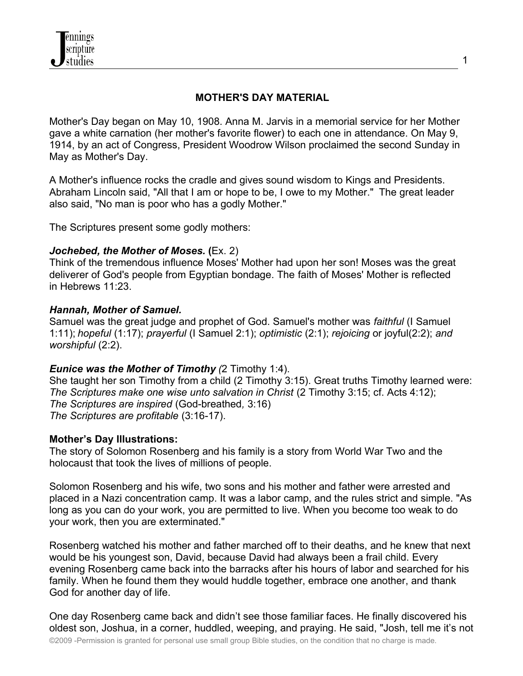# **MOTHER'S DAY MATERIAL**

Mother's Day began on May 10, 1908. Anna M. Jarvis in a memorial service for her Mother gave a white carnation (her mother's favorite flower) to each one in attendance. On May 9, 1914, by an act of Congress, President Woodrow Wilson proclaimed the second Sunday in May as Mother's Day.

A Mother's influence rocks the cradle and gives sound wisdom to Kings and Presidents. Abraham Lincoln said, "All that I am or hope to be, I owe to my Mother." The great leader also said, "No man is poor who has a godly Mother."

The Scriptures present some godly mothers:

## *Jochebed, the Mother of Moses.* **(**Ex. 2)

Think of the tremendous influence Moses' Mother had upon her son! Moses was the great deliverer of God's people from Egyptian bondage. The faith of Moses' Mother is reflected in Hebrews 11:23.

## *Hannah, Mother of Samuel.*

Samuel was the great judge and prophet of God. Samuel's mother was *faithful* (I Samuel 1:11); *hopeful* (1:17); *prayerful* (I Samuel 2:1); *optimistic* (2:1); *rejoicing* or joyful(2:2); *and worshipful* (2:2).

## *Eunice was the Mother of Timothy (*2 Timothy 1:4).

She taught her son Timothy from a child (2 Timothy 3:15). Great truths Timothy learned were: *The Scriptures make one wise unto salvation in Christ* (2 Timothy 3:15; cf. Acts 4:12); *The Scriptures are inspired* (God-breathed*,* 3:16) *The Scriptures are profitable* (3:16-17).

## **Mother's Day Illustrations:**

The story of Solomon Rosenberg and his family is a story from World War Two and the holocaust that took the lives of millions of people.

Solomon Rosenberg and his wife, two sons and his mother and father were arrested and placed in a Nazi concentration camp. It was a labor camp, and the rules strict and simple. "As long as you can do your work, you are permitted to live. When you become too weak to do your work, then you are exterminated."

Rosenberg watched his mother and father marched off to their deaths, and he knew that next would be his youngest son, David, because David had always been a frail child. Every evening Rosenberg came back into the barracks after his hours of labor and searched for his family. When he found them they would huddle together, embrace one another, and thank God for another day of life.

One day Rosenberg came back and didn't see those familiar faces. He finally discovered his oldest son, Joshua, in a corner, huddled, weeping, and praying. He said, "Josh, tell me it's not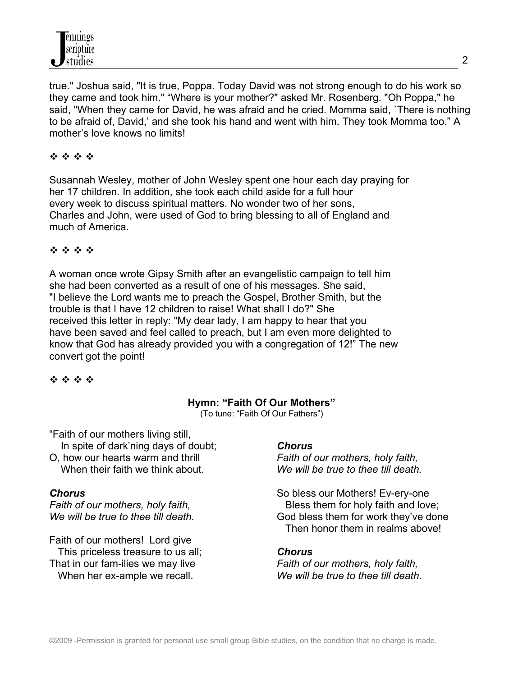true." Joshua said, "It is true, Poppa. Today David was not strong enough to do his work so they came and took him." "Where is your mother?" asked Mr. Rosenberg. "Oh Poppa," he said, "When they came for David, he was afraid and he cried. Momma said, `There is nothing to be afraid of, David,' and she took his hand and went with him. They took Momma too." A mother's love knows no limits!

# 经合格合

Susannah Wesley, mother of John Wesley spent one hour each day praying for her 17 children. In addition, she took each child aside for a full hour every week to discuss spiritual matters. No wonder two of her sons, Charles and John, were used of God to bring blessing to all of England and much of America.

## \*\*\*\*

A woman once wrote Gipsy Smith after an evangelistic campaign to tell him she had been converted as a result of one of his messages. She said, "I believe the Lord wants me to preach the Gospel, Brother Smith, but the trouble is that I have 12 children to raise! What shall I do?" She received this letter in reply: "My dear lady, I am happy to hear that you have been saved and feel called to preach, but I am even more delighted to know that God has already provided you with a congregation of 12!" The new convert got the point!

# \* \* \* \*

# **Hymn: "Faith Of Our Mothers"**

(To tune: "Faith Of Our Fathers")

"Faith of our mothers living still, In spite of dark'ning days of doubt; O, how our hearts warm and thrill

When their faith we think about.

## *Chorus*

*Faith of our mothers, holy faith, We will be true to thee till death.*

Faith of our mothers! Lord give This priceless treasure to us all; That in our fam-ilies we may live When her ex-ample we recall.

## *Chorus*

*Faith of our mothers, holy faith, We will be true to thee till death.*

So bless our Mothers! Ev-ery-one Bless them for holy faith and love; God bless them for work they've done Then honor them in realms above!

## *Chorus*

*Faith of our mothers, holy faith, We will be true to thee till death.*